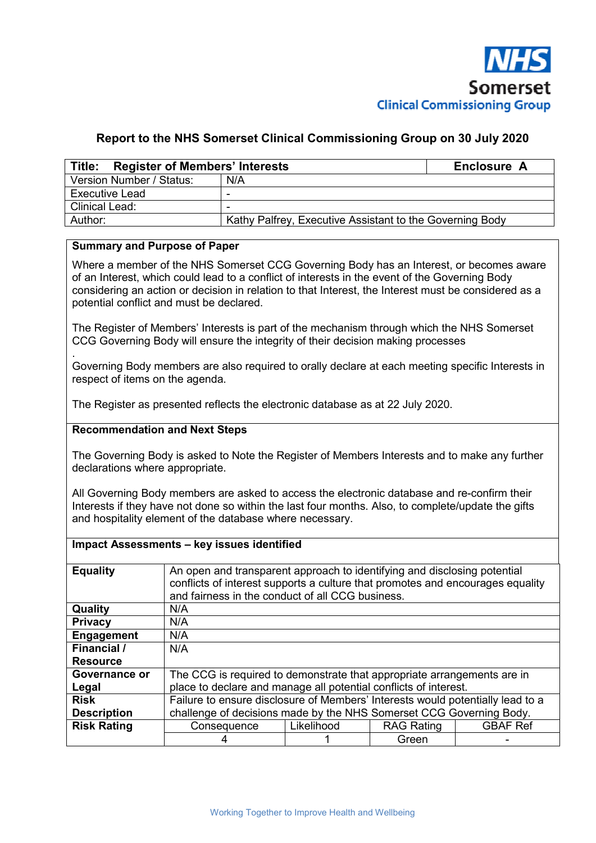

## **Report to the NHS Somerset Clinical Commissioning Group on 30 July 2020**

| Title: Register of Members' Interests |                                                          | Enclosure A |
|---------------------------------------|----------------------------------------------------------|-------------|
| Version Number / Status:              | N/A                                                      |             |
| <b>Executive Lead</b>                 | -                                                        |             |
| <b>Clinical Lead:</b>                 | -                                                        |             |
| Author:                               | Kathy Palfrey, Executive Assistant to the Governing Body |             |

### **Summary and Purpose of Paper**

Where a member of the NHS Somerset CCG Governing Body has an Interest, or becomes aware of an Interest, which could lead to a conflict of interests in the event of the Governing Body considering an action or decision in relation to that Interest, the Interest must be considered as a potential conflict and must be declared.

The Register of Members' Interests is part of the mechanism through which the NHS Somerset CCG Governing Body will ensure the integrity of their decision making processes

. Governing Body members are also required to orally declare at each meeting specific Interests in respect of items on the agenda.

The Register as presented reflects the electronic database as at 22 July 2020.

#### **Recommendation and Next Steps**

The Governing Body is asked to Note the Register of Members Interests and to make any further declarations where appropriate.

All Governing Body members are asked to access the electronic database and re-confirm their Interests if they have not done so within the last four months. Also, to complete/update the gifts and hospitality element of the database where necessary.

#### **Impact Assessments – key issues identified**

| <b>Equality</b>    |                                                                                | An open and transparent approach to identifying and disclosing potential<br>conflicts of interest supports a culture that promotes and encourages equality<br>and fairness in the conduct of all CCG business. |       |  |  |  |  |  |  |  |
|--------------------|--------------------------------------------------------------------------------|----------------------------------------------------------------------------------------------------------------------------------------------------------------------------------------------------------------|-------|--|--|--|--|--|--|--|
| Quality            | N/A                                                                            |                                                                                                                                                                                                                |       |  |  |  |  |  |  |  |
| <b>Privacy</b>     | N/A                                                                            |                                                                                                                                                                                                                |       |  |  |  |  |  |  |  |
| <b>Engagement</b>  | N/A                                                                            |                                                                                                                                                                                                                |       |  |  |  |  |  |  |  |
| Financial /        | N/A                                                                            |                                                                                                                                                                                                                |       |  |  |  |  |  |  |  |
| <b>Resource</b>    |                                                                                |                                                                                                                                                                                                                |       |  |  |  |  |  |  |  |
| Governance or      | The CCG is required to demonstrate that appropriate arrangements are in        |                                                                                                                                                                                                                |       |  |  |  |  |  |  |  |
| Legal              | place to declare and manage all potential conflicts of interest.               |                                                                                                                                                                                                                |       |  |  |  |  |  |  |  |
| <b>Risk</b>        | Failure to ensure disclosure of Members' Interests would potentially lead to a |                                                                                                                                                                                                                |       |  |  |  |  |  |  |  |
| <b>Description</b> | challenge of decisions made by the NHS Somerset CCG Governing Body.            |                                                                                                                                                                                                                |       |  |  |  |  |  |  |  |
| <b>Risk Rating</b> | <b>GBAF Ref</b><br>Likelihood<br><b>RAG Rating</b><br>Consequence              |                                                                                                                                                                                                                |       |  |  |  |  |  |  |  |
|                    |                                                                                |                                                                                                                                                                                                                | Green |  |  |  |  |  |  |  |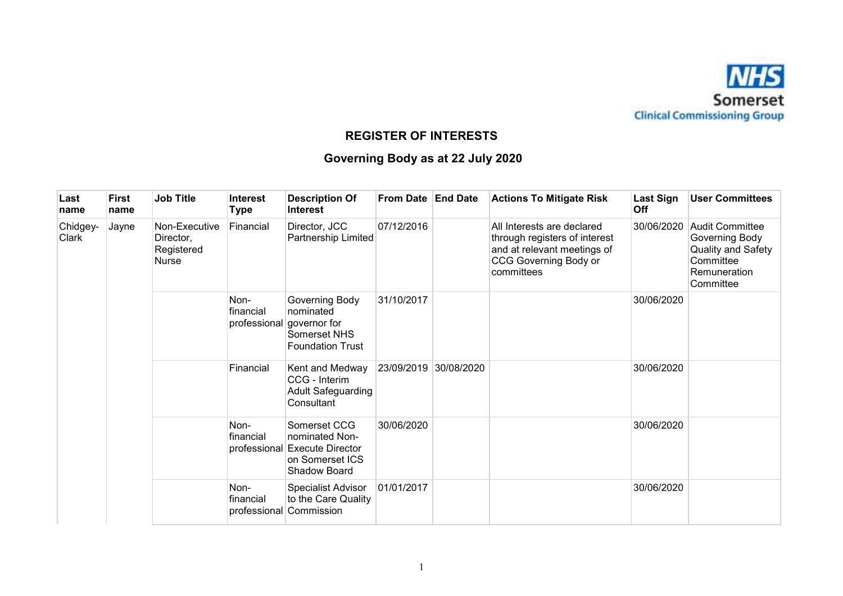

## **REGISTER OF INTERESTS**

# **Governing Body as at 22 July 2020**

| Last<br>name               | <b>First</b><br>name | <b>Job Title</b>                                  | <b>Interest</b><br><b>Type</b>    | <b>Description Of</b><br><b>Interest</b>                                                            | From Date End Date    | <b>Actions To Mitigate Risk</b>                                                                                                   | Last Sign<br><b>Off</b> | <b>User Committees</b>                                                                                          |
|----------------------------|----------------------|---------------------------------------------------|-----------------------------------|-----------------------------------------------------------------------------------------------------|-----------------------|-----------------------------------------------------------------------------------------------------------------------------------|-------------------------|-----------------------------------------------------------------------------------------------------------------|
| Chidgey-<br>Jayne<br>Clark |                      | Non-Executive<br>Director,<br>Registered<br>Nurse | Financial                         | Director, JCC<br>Partnership Limited                                                                | 07/12/2016            | All Interests are declared<br>through registers of interest<br>and at relevant meetings of<br>CCG Governing Body or<br>committees | 30/06/2020              | <b>Audit Committee</b><br>Governing Body<br><b>Quality and Safety</b><br>Committee<br>Remuneration<br>Committee |
|                            |                      |                                                   | Non-<br>financial<br>professional | Governing Body<br>nominated<br>governor for<br>Somerset NHS<br><b>Foundation Trust</b>              | 31/10/2017            |                                                                                                                                   | 30/06/2020              |                                                                                                                 |
|                            |                      |                                                   | Financial                         | Kent and Medway<br>CCG - Interim<br><b>Adult Safeguarding</b><br>Consultant                         | 23/09/2019 30/08/2020 |                                                                                                                                   | 30/06/2020              |                                                                                                                 |
|                            |                      |                                                   | Non-<br>financial<br>professional | Somerset CCG<br>nominated Non-<br><b>Execute Director</b><br>on Somerset ICS<br><b>Shadow Board</b> | 30/06/2020            |                                                                                                                                   | 30/06/2020              |                                                                                                                 |
|                            |                      |                                                   | Non-<br>financial<br>professional | Specialist Advisor<br>to the Care Quality<br>Commission                                             | 01/01/2017            |                                                                                                                                   | 30/06/2020              |                                                                                                                 |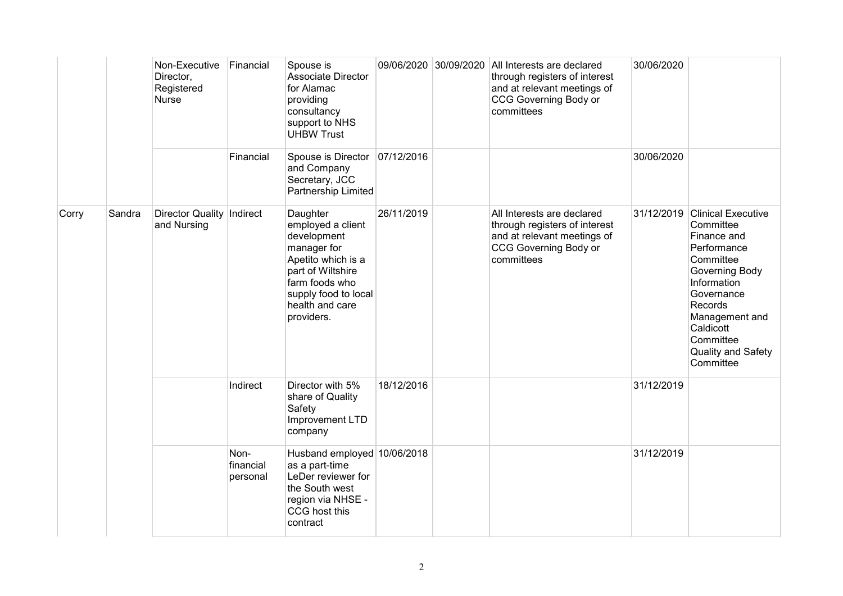|       |        | Non-Executive<br>Director,<br>Registered<br>Nurse | Financial                     | Spouse is<br>Associate Director<br>for Alamac<br>providing<br>consultancy<br>support to NHS<br><b>UHBW Trust</b>                                                                  |            | 09/06/2020 30/09/2020 | All Interests are declared<br>through registers of interest<br>and at relevant meetings of<br>CCG Governing Body or<br>committees        | 30/06/2020 |                                                                                                                                                                                                                            |
|-------|--------|---------------------------------------------------|-------------------------------|-----------------------------------------------------------------------------------------------------------------------------------------------------------------------------------|------------|-----------------------|------------------------------------------------------------------------------------------------------------------------------------------|------------|----------------------------------------------------------------------------------------------------------------------------------------------------------------------------------------------------------------------------|
|       |        |                                                   | Financial                     | Spouse is Director 07/12/2016<br>and Company<br>Secretary, JCC<br>Partnership Limited                                                                                             |            |                       |                                                                                                                                          | 30/06/2020 |                                                                                                                                                                                                                            |
| Corry | Sandra | Director Quality   Indirect<br>and Nursing        |                               | Daughter<br>employed a client<br>development<br>manager for<br>Apetito which is a<br>part of Wiltshire<br>farm foods who<br>supply food to local<br>health and care<br>providers. | 26/11/2019 |                       | All Interests are declared<br>through registers of interest<br>and at relevant meetings of<br><b>CCG Governing Body or</b><br>committees | 31/12/2019 | <b>Clinical Executive</b><br>Committee<br>Finance and<br>Performance<br>Committee<br>Governing Body<br>Information<br>Governance<br>Records<br>Management and<br>Caldicott<br>Committee<br>Quality and Safety<br>Committee |
|       |        |                                                   | Indirect                      | Director with 5%<br>share of Quality<br>Safety<br>Improvement LTD<br>company                                                                                                      | 18/12/2016 |                       |                                                                                                                                          | 31/12/2019 |                                                                                                                                                                                                                            |
|       |        |                                                   | Non-<br>financial<br>personal | Husband employed 10/06/2018<br>as a part-time<br>LeDer reviewer for<br>the South west<br>region via NHSE -<br>CCG host this<br>contract                                           |            |                       |                                                                                                                                          | 31/12/2019 |                                                                                                                                                                                                                            |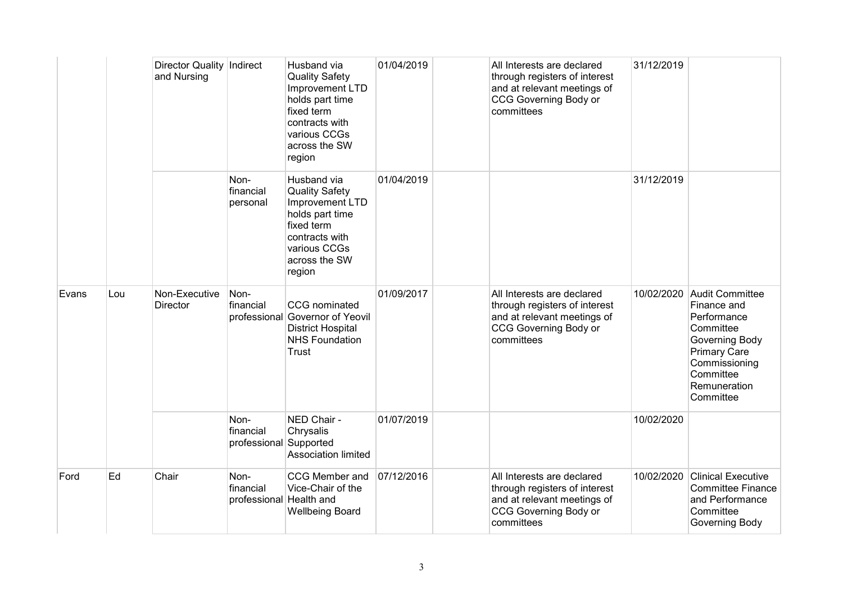|       |     | Director Quality   Indirect<br>and Nursing |                                              | Husband via<br><b>Quality Safety</b><br>Improvement LTD<br>holds part time<br>fixed term<br>contracts with<br>various CCGs<br>across the SW<br>region | 01/04/2019 | All Interests are declared<br>through registers of interest<br>and at relevant meetings of<br><b>CCG Governing Body or</b><br>committees | 31/12/2019 |                                                                                                                                                                |
|-------|-----|--------------------------------------------|----------------------------------------------|-------------------------------------------------------------------------------------------------------------------------------------------------------|------------|------------------------------------------------------------------------------------------------------------------------------------------|------------|----------------------------------------------------------------------------------------------------------------------------------------------------------------|
|       |     |                                            | Non-<br>financial<br>personal                | Husband via<br><b>Quality Safety</b><br>Improvement LTD<br>holds part time<br>fixed term<br>contracts with<br>various CCGs<br>across the SW<br>region | 01/04/2019 |                                                                                                                                          | 31/12/2019 |                                                                                                                                                                |
| Evans | Lou | Non-Executive<br>Director                  | Non-<br>financial                            | <b>CCG</b> nominated<br>professional Governor of Yeovil<br><b>District Hospital</b><br><b>NHS Foundation</b><br>Trust                                 | 01/09/2017 | All Interests are declared<br>through registers of interest<br>and at relevant meetings of<br><b>CCG Governing Body or</b><br>committees | 10/02/2020 | Audit Committee<br>Finance and<br>Performance<br>Committee<br>Governing Body<br><b>Primary Care</b><br>Commissioning<br>Committee<br>Remuneration<br>Committee |
|       |     |                                            | Non-<br>financial<br>professional Supported  | NED Chair -<br>Chrysalis<br>Association limited                                                                                                       | 01/07/2019 |                                                                                                                                          | 10/02/2020 |                                                                                                                                                                |
| Ford  | Ed  | Chair                                      | Non-<br>financial<br>professional Health and | CCG Member and<br>Vice-Chair of the<br><b>Wellbeing Board</b>                                                                                         | 07/12/2016 | All Interests are declared<br>through registers of interest<br>and at relevant meetings of<br><b>CCG Governing Body or</b><br>committees | 10/02/2020 | <b>Clinical Executive</b><br><b>Committee Finance</b><br>and Performance<br>Committee<br>Governing Body                                                        |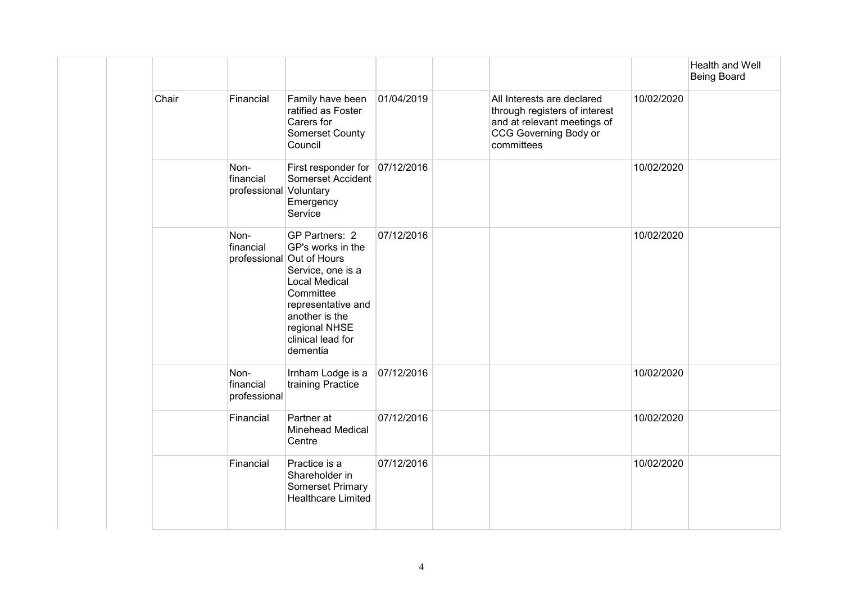|       |                                             |                                                                                                                                                                                                                      |            |                                                                                                                                          |            | Health and Well<br><b>Being Board</b> |
|-------|---------------------------------------------|----------------------------------------------------------------------------------------------------------------------------------------------------------------------------------------------------------------------|------------|------------------------------------------------------------------------------------------------------------------------------------------|------------|---------------------------------------|
| Chair | Financial                                   | Family have been<br>ratified as Foster<br>Carers for<br>Somerset County<br>Council                                                                                                                                   | 01/04/2019 | All Interests are declared<br>through registers of interest<br>and at relevant meetings of<br><b>CCG Governing Body or</b><br>committees | 10/02/2020 |                                       |
|       | Non-<br>financial<br>professional Voluntary | First responder for 07/12/2016<br>Somerset Accident<br>Emergency<br>Service                                                                                                                                          |            |                                                                                                                                          | 10/02/2020 |                                       |
|       | Non-<br>financial                           | GP Partners: 2<br>GP's works in the<br>professional Out of Hours<br>Service, one is a<br><b>Local Medical</b><br>Committee<br>representative and<br>another is the<br>regional NHSE<br>clinical lead for<br>dementia | 07/12/2016 |                                                                                                                                          | 10/02/2020 |                                       |
|       | Non-<br>financial<br>professional           | Irnham Lodge is a<br>training Practice                                                                                                                                                                               | 07/12/2016 |                                                                                                                                          | 10/02/2020 |                                       |
|       | Financial                                   | Partner at<br><b>Minehead Medical</b><br>Centre                                                                                                                                                                      | 07/12/2016 |                                                                                                                                          | 10/02/2020 |                                       |
|       | Financial                                   | Practice is a<br>Shareholder in<br>Somerset Primary<br><b>Healthcare Limited</b>                                                                                                                                     | 07/12/2016 |                                                                                                                                          | 10/02/2020 |                                       |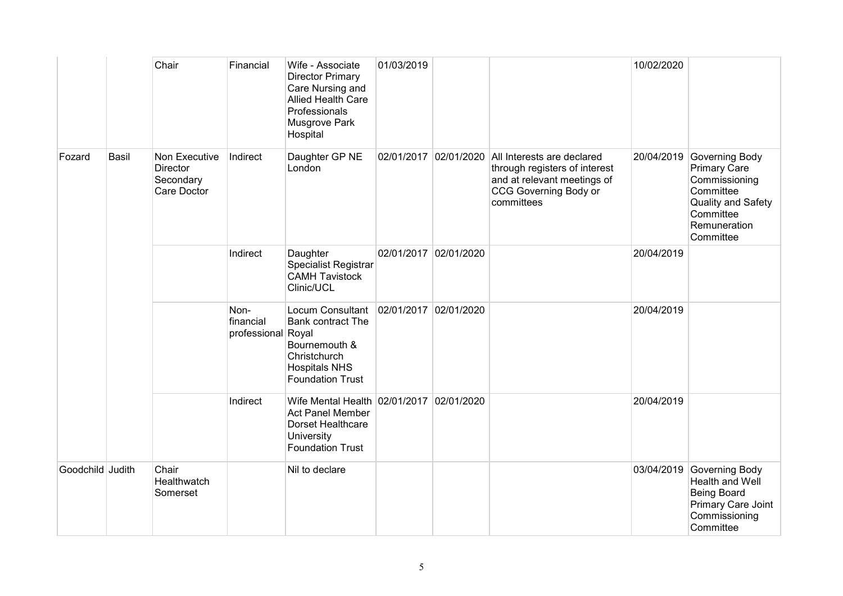|                  |              | Chair                                                        | Financial                               | Wife - Associate<br><b>Director Primary</b><br>Care Nursing and<br><b>Allied Health Care</b><br>Professionals<br>Musgrove Park<br>Hospital | 01/03/2019            |            |                                                                                                                                                                | 10/02/2020 |                                                                                                                                                |
|------------------|--------------|--------------------------------------------------------------|-----------------------------------------|--------------------------------------------------------------------------------------------------------------------------------------------|-----------------------|------------|----------------------------------------------------------------------------------------------------------------------------------------------------------------|------------|------------------------------------------------------------------------------------------------------------------------------------------------|
| Fozard           | <b>Basil</b> | Non Executive<br><b>Director</b><br>Secondary<br>Care Doctor | Indirect                                | Daughter GP NE<br>London                                                                                                                   |                       |            | 02/01/2017 02/01/2020 All Interests are declared<br>through registers of interest<br>and at relevant meetings of<br><b>CCG Governing Body or</b><br>committees |            | 20/04/2019 Governing Body<br><b>Primary Care</b><br>Commissioning<br>Committee<br>Quality and Safety<br>Committee<br>Remuneration<br>Committee |
|                  |              |                                                              | Indirect                                | Daughter<br>Specialist Registrar<br><b>CAMH Tavistock</b><br>Clinic/UCL                                                                    | 02/01/2017            | 02/01/2020 |                                                                                                                                                                | 20/04/2019 |                                                                                                                                                |
|                  |              |                                                              | Non-<br>financial<br>professional Royal | Locum Consultant<br><b>Bank contract The</b><br>Bournemouth &<br>Christchurch<br><b>Hospitals NHS</b><br><b>Foundation Trust</b>           | 02/01/2017 02/01/2020 |            |                                                                                                                                                                | 20/04/2019 |                                                                                                                                                |
|                  |              |                                                              | Indirect                                | Wife Mental Health 02/01/2017<br><b>Act Panel Member</b><br>Dorset Healthcare<br>University<br><b>Foundation Trust</b>                     |                       | 02/01/2020 |                                                                                                                                                                | 20/04/2019 |                                                                                                                                                |
| Goodchild Judith |              | Chair<br>Healthwatch<br>Somerset                             |                                         | Nil to declare                                                                                                                             |                       |            |                                                                                                                                                                |            | 03/04/2019 Governing Body<br>Health and Well<br><b>Being Board</b><br>Primary Care Joint<br>Commissioning<br>Committee                         |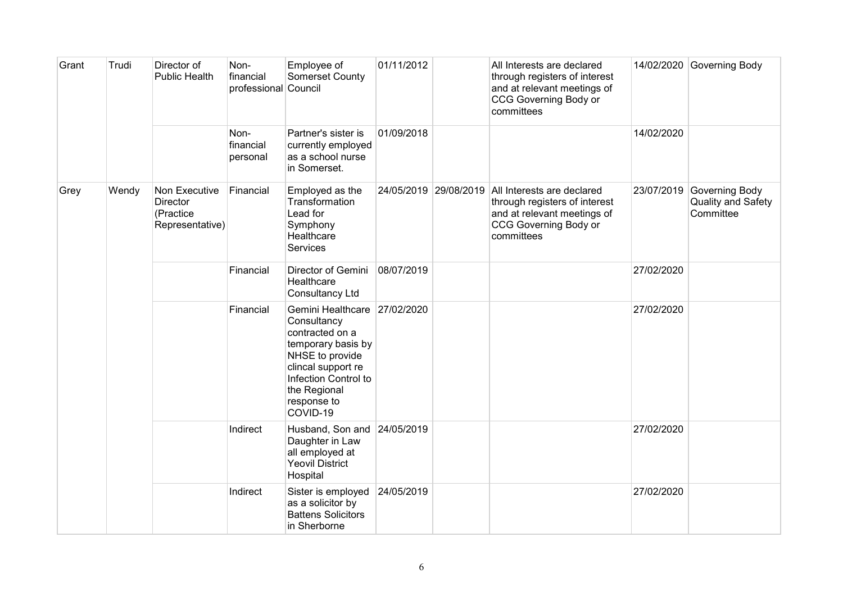| Grant | Trudi | Director of<br><b>Public Health</b>                       | Non-<br>financial<br>professional Council | Employee of<br>Somerset County                                                                                                                                                                   | 01/11/2012 |                       | All Interests are declared<br>through registers of interest<br>and at relevant meetings of<br><b>CCG Governing Body or</b><br>committees |            | 14/02/2020 Governing Body                         |
|-------|-------|-----------------------------------------------------------|-------------------------------------------|--------------------------------------------------------------------------------------------------------------------------------------------------------------------------------------------------|------------|-----------------------|------------------------------------------------------------------------------------------------------------------------------------------|------------|---------------------------------------------------|
|       |       |                                                           | Non-<br>financial<br>personal             | Partner's sister is<br>currently employed<br>as a school nurse<br>in Somerset.                                                                                                                   | 01/09/2018 |                       |                                                                                                                                          | 14/02/2020 |                                                   |
| Grey  | Wendy | Non Executive<br>Director<br>(Practice<br>Representative) | Financial                                 | Employed as the<br>Transformation<br>Lead for<br>Symphony<br>Healthcare<br>Services                                                                                                              |            | 24/05/2019 29/08/2019 | All Interests are declared<br>through registers of interest<br>and at relevant meetings of<br>CCG Governing Body or<br>committees        | 23/07/2019 | Governing Body<br>Quality and Safety<br>Committee |
|       |       |                                                           | Financial                                 | Director of Gemini<br>Healthcare<br><b>Consultancy Ltd</b>                                                                                                                                       | 08/07/2019 |                       |                                                                                                                                          | 27/02/2020 |                                                   |
|       |       |                                                           | Financial                                 | Gemini Healthcare 27/02/2020<br>Consultancy<br>contracted on a<br>temporary basis by<br>NHSE to provide<br>clincal support re<br>Infection Control to<br>the Regional<br>response to<br>COVID-19 |            |                       |                                                                                                                                          | 27/02/2020 |                                                   |
|       |       |                                                           | Indirect                                  | Husband, Son and<br>Daughter in Law<br>all employed at<br><b>Yeovil District</b><br>Hospital                                                                                                     | 24/05/2019 |                       |                                                                                                                                          | 27/02/2020 |                                                   |
|       |       |                                                           | Indirect                                  | Sister is employed<br>as a solicitor by<br><b>Battens Solicitors</b><br>in Sherborne                                                                                                             | 24/05/2019 |                       |                                                                                                                                          | 27/02/2020 |                                                   |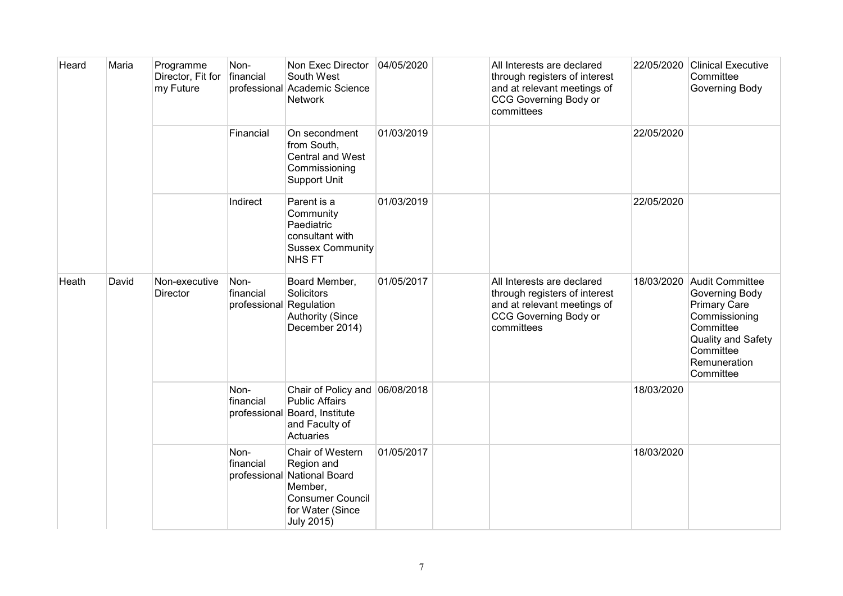| Heard | Maria | Programme<br>Director, Fit for<br>my Future | Non-<br>financial                            | Non Exec Director<br>South West<br>professional Academic Science<br><b>Network</b>                                                           | 04/05/2020 | All Interests are declared<br>through registers of interest<br>and at relevant meetings of<br><b>CCG Governing Body or</b><br>committees | 22/05/2020 | <b>Clinical Executive</b><br>Committee<br>Governing Body                                                                                               |
|-------|-------|---------------------------------------------|----------------------------------------------|----------------------------------------------------------------------------------------------------------------------------------------------|------------|------------------------------------------------------------------------------------------------------------------------------------------|------------|--------------------------------------------------------------------------------------------------------------------------------------------------------|
|       |       |                                             | Financial                                    | On secondment<br>from South,<br>Central and West<br>Commissioning<br><b>Support Unit</b>                                                     | 01/03/2019 |                                                                                                                                          | 22/05/2020 |                                                                                                                                                        |
|       |       |                                             | Indirect                                     | Parent is a<br>Community<br>Paediatric<br>consultant with<br><b>Sussex Community</b><br><b>NHSFT</b>                                         | 01/03/2019 |                                                                                                                                          | 22/05/2020 |                                                                                                                                                        |
| Heath | David | Non-executive<br><b>Director</b>            | Non-<br>financial<br>professional Regulation | Board Member,<br>Solicitors<br><b>Authority (Since</b><br>December 2014)                                                                     | 01/05/2017 | All Interests are declared<br>through registers of interest<br>and at relevant meetings of<br><b>CCG Governing Body or</b><br>committees | 18/03/2020 | Audit Committee<br>Governing Body<br><b>Primary Care</b><br>Commissioning<br>Committee<br>Quality and Safety<br>Committee<br>Remuneration<br>Committee |
|       |       |                                             | Non-<br>financial                            | Chair of Policy and<br><b>Public Affairs</b><br>professional Board, Institute<br>and Faculty of<br>Actuaries                                 | 06/08/2018 |                                                                                                                                          | 18/03/2020 |                                                                                                                                                        |
|       |       |                                             | Non-<br>financial                            | Chair of Western<br>Region and<br>professional National Board<br>Member,<br><b>Consumer Council</b><br>for Water (Since<br><b>July 2015)</b> | 01/05/2017 |                                                                                                                                          | 18/03/2020 |                                                                                                                                                        |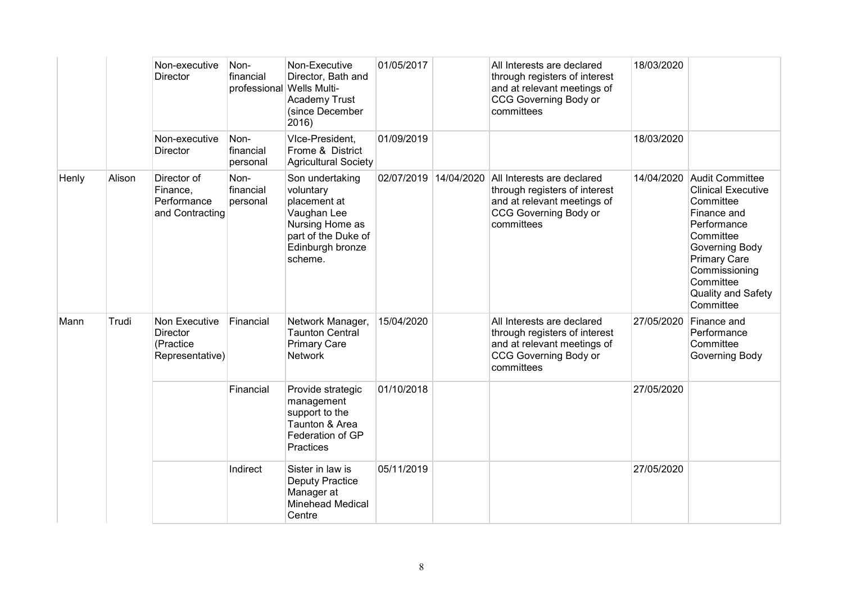|       |        | Non-executive<br>Director                                 | Non-<br>financial             | Non-Executive<br>Director, Bath and<br>professional Wells Multi-<br><b>Academy Trust</b><br>(since December<br>2016)                 | 01/05/2017 |            | All Interests are declared<br>through registers of interest<br>and at relevant meetings of<br><b>CCG Governing Body or</b><br>committees | 18/03/2020 |                                                                                                                                                                                                                              |
|-------|--------|-----------------------------------------------------------|-------------------------------|--------------------------------------------------------------------------------------------------------------------------------------|------------|------------|------------------------------------------------------------------------------------------------------------------------------------------|------------|------------------------------------------------------------------------------------------------------------------------------------------------------------------------------------------------------------------------------|
|       |        | Non-executive<br><b>Director</b>                          | Non-<br>financial<br>personal | VIce-President,<br>Frome & District<br><b>Agricultural Society</b>                                                                   | 01/09/2019 |            |                                                                                                                                          | 18/03/2020 |                                                                                                                                                                                                                              |
| Henly | Alison | Director of<br>Finance,<br>Performance<br>and Contracting | Non-<br>financial<br>personal | Son undertaking<br>voluntary<br>placement at<br>Vaughan Lee<br>Nursing Home as<br>part of the Duke of<br>Edinburgh bronze<br>scheme. | 02/07/2019 | 14/04/2020 | All Interests are declared<br>through registers of interest<br>and at relevant meetings of<br><b>CCG Governing Body or</b><br>committees | 14/04/2020 | <b>Audit Committee</b><br><b>Clinical Executive</b><br>Committee<br>Finance and<br>Performance<br>Committee<br>Governing Body<br><b>Primary Care</b><br>Commissioning<br>Committee<br><b>Quality and Safety</b><br>Committee |
| Mann  | Trudi  | Non Executive<br>Director<br>(Practice<br>Representative) | Financial                     | Network Manager,<br><b>Taunton Central</b><br><b>Primary Care</b><br><b>Network</b>                                                  | 15/04/2020 |            | All Interests are declared<br>through registers of interest<br>and at relevant meetings of<br><b>CCG Governing Body or</b><br>committees | 27/05/2020 | Finance and<br>Performance<br>Committee<br>Governing Body                                                                                                                                                                    |
|       |        |                                                           | Financial                     | Provide strategic<br>management<br>support to the<br>Taunton & Area<br>Federation of GP<br>Practices                                 | 01/10/2018 |            |                                                                                                                                          | 27/05/2020 |                                                                                                                                                                                                                              |
|       |        |                                                           | Indirect                      | Sister in law is<br><b>Deputy Practice</b><br>Manager at<br><b>Minehead Medical</b><br>Centre                                        | 05/11/2019 |            |                                                                                                                                          | 27/05/2020 |                                                                                                                                                                                                                              |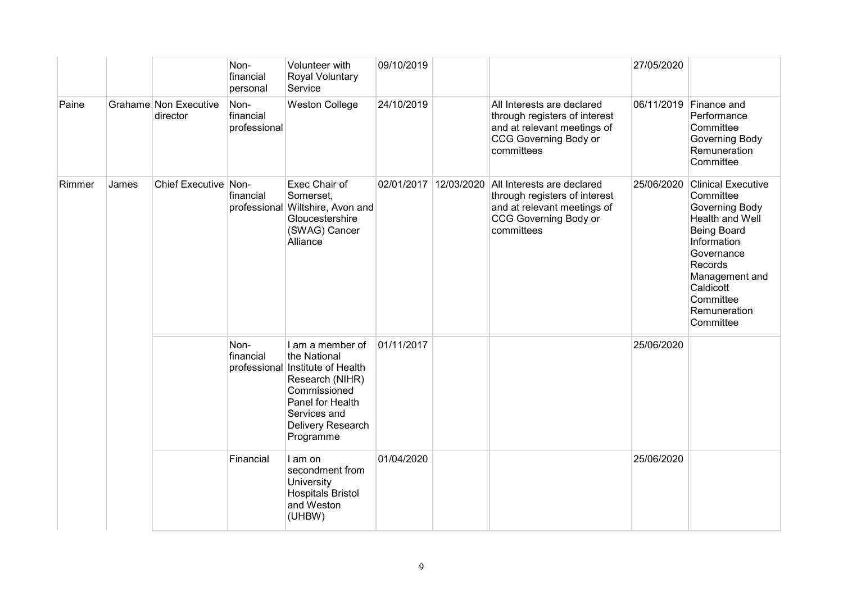|        |       |                                   | Non-<br>financial<br>personal     | Volunteer with<br>Royal Voluntary<br>Service                                                                                                                                  | 09/10/2019 |            |                                                                                                                                          | 27/05/2020 |                                                                                                                                                                                                                    |
|--------|-------|-----------------------------------|-----------------------------------|-------------------------------------------------------------------------------------------------------------------------------------------------------------------------------|------------|------------|------------------------------------------------------------------------------------------------------------------------------------------|------------|--------------------------------------------------------------------------------------------------------------------------------------------------------------------------------------------------------------------|
| Paine  |       | Grahame Non Executive<br>director | Non-<br>financial<br>professional | <b>Weston College</b>                                                                                                                                                         | 24/10/2019 |            | All Interests are declared<br>through registers of interest<br>and at relevant meetings of<br>CCG Governing Body or<br>committees        |            | 06/11/2019 Finance and<br>Performance<br>Committee<br>Governing Body<br>Remuneration<br>Committee                                                                                                                  |
| Rimmer | James | Chief Executive Non-              | financial                         | Exec Chair of<br>Somerset,<br>professional Wiltshire, Avon and<br>Gloucestershire<br>(SWAG) Cancer<br>Alliance                                                                | 02/01/2017 | 12/03/2020 | All Interests are declared<br>through registers of interest<br>and at relevant meetings of<br><b>CCG Governing Body or</b><br>committees | 25/06/2020 | <b>Clinical Executive</b><br>Committee<br>Governing Body<br>Health and Well<br><b>Being Board</b><br>Information<br>Governance<br>Records<br>Management and<br>Caldicott<br>Committee<br>Remuneration<br>Committee |
|        |       |                                   | Non-<br>financial                 | I am a member of<br>the National<br>professional Institute of Health<br>Research (NIHR)<br>Commissioned<br>Panel for Health<br>Services and<br>Delivery Research<br>Programme | 01/11/2017 |            |                                                                                                                                          | 25/06/2020 |                                                                                                                                                                                                                    |
|        |       |                                   | Financial                         | I am on<br>secondment from<br>University<br><b>Hospitals Bristol</b><br>and Weston<br>(UHBW)                                                                                  | 01/04/2020 |            |                                                                                                                                          | 25/06/2020 |                                                                                                                                                                                                                    |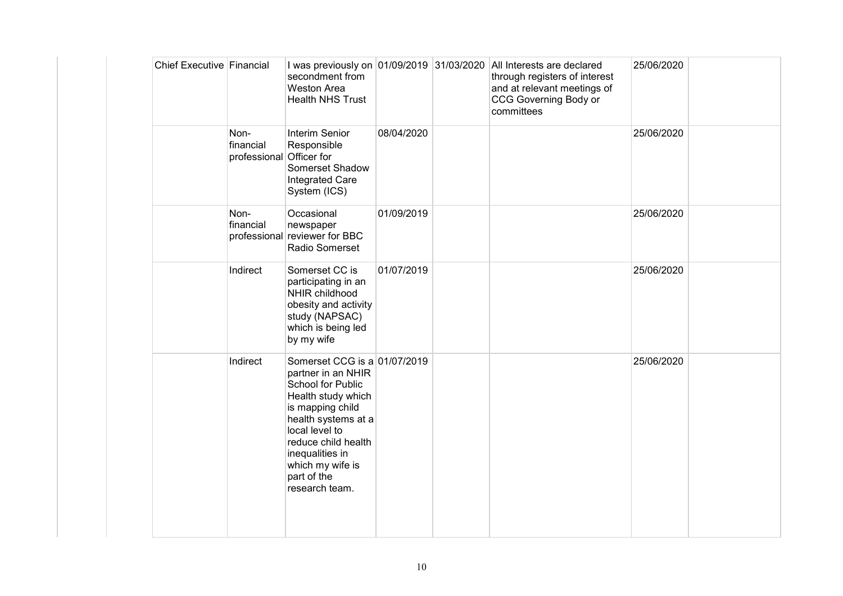| Chief Executive Financial |                                   | secondment from<br><b>Weston Area</b><br><b>Health NHS Trust</b>                                                                                                                                                                                          |            | I was previously on 01/09/2019 31/03/2020 All Interests are declared<br>through registers of interest<br>and at relevant meetings of<br>CCG Governing Body or<br>committees | 25/06/2020 |  |
|---------------------------|-----------------------------------|-----------------------------------------------------------------------------------------------------------------------------------------------------------------------------------------------------------------------------------------------------------|------------|-----------------------------------------------------------------------------------------------------------------------------------------------------------------------------|------------|--|
|                           | Non-<br>financial<br>professional | Interim Senior<br>Responsible<br>Officer for<br>Somerset Shadow<br>Integrated Care<br>System (ICS)                                                                                                                                                        | 08/04/2020 |                                                                                                                                                                             | 25/06/2020 |  |
|                           | Non-<br>financial                 | Occasional<br>newspaper<br>professional reviewer for BBC<br>Radio Somerset                                                                                                                                                                                | 01/09/2019 |                                                                                                                                                                             | 25/06/2020 |  |
|                           | Indirect                          | Somerset CC is<br>participating in an<br>NHIR childhood<br>obesity and activity<br>study (NAPSAC)<br>which is being led<br>by my wife                                                                                                                     | 01/07/2019 |                                                                                                                                                                             | 25/06/2020 |  |
|                           | Indirect                          | Somerset CCG is a 01/07/2019<br>partner in an NHIR<br>School for Public<br>Health study which<br>is mapping child<br>health systems at a<br>local level to<br>reduce child health<br>inequalities in<br>which my wife is<br>part of the<br>research team. |            |                                                                                                                                                                             | 25/06/2020 |  |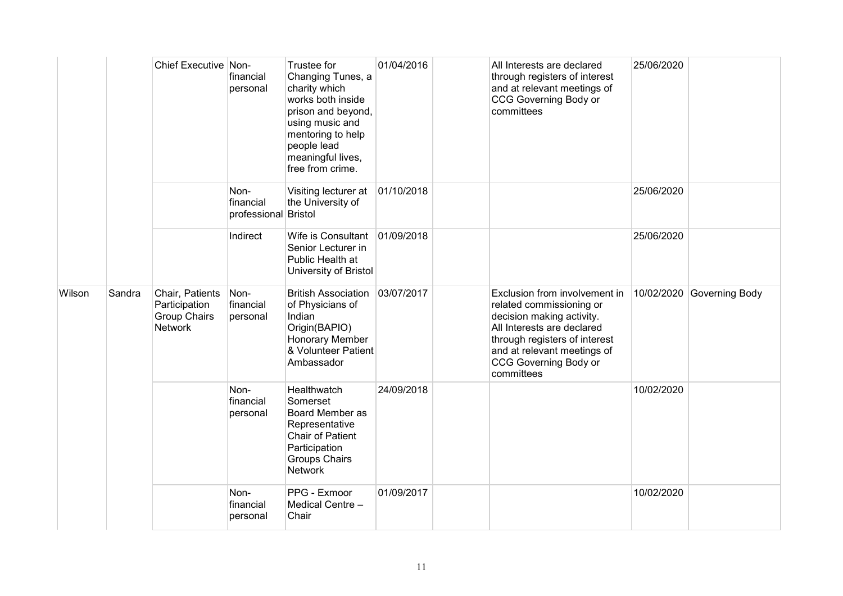|        |        | Chief Executive Non-                                                      | financial<br>personal                     | Trustee for<br>Changing Tunes, a<br>charity which<br>works both inside<br>prison and beyond,<br>using music and<br>mentoring to help<br>people lead<br>meaningful lives,<br>free from crime. | 01/04/2016 | All Interests are declared<br>through registers of interest<br>and at relevant meetings of<br><b>CCG Governing Body or</b><br>committees                                                                                           | 25/06/2020 |                |
|--------|--------|---------------------------------------------------------------------------|-------------------------------------------|----------------------------------------------------------------------------------------------------------------------------------------------------------------------------------------------|------------|------------------------------------------------------------------------------------------------------------------------------------------------------------------------------------------------------------------------------------|------------|----------------|
|        |        |                                                                           | Non-<br>financial<br>professional Bristol | Visiting lecturer at<br>the University of                                                                                                                                                    | 01/10/2018 |                                                                                                                                                                                                                                    | 25/06/2020 |                |
|        |        |                                                                           | Indirect                                  | Wife is Consultant<br>Senior Lecturer in<br>Public Health at<br>University of Bristol                                                                                                        | 01/09/2018 |                                                                                                                                                                                                                                    | 25/06/2020 |                |
| Wilson | Sandra | Chair, Patients<br>Participation<br><b>Group Chairs</b><br><b>Network</b> | Non-<br>financial<br>personal             | <b>British Association</b><br>of Physicians of<br>Indian<br>Origin(BAPIO)<br>Honorary Member<br>& Volunteer Patient<br>Ambassador                                                            | 03/07/2017 | Exclusion from involvement in<br>related commissioning or<br>decision making activity.<br>All Interests are declared<br>through registers of interest<br>and at relevant meetings of<br><b>CCG Governing Body or</b><br>committees | 10/02/2020 | Governing Body |
|        |        |                                                                           | Non-<br>financial<br>personal             | Healthwatch<br>Somerset<br>Board Member as<br>Representative<br><b>Chair of Patient</b><br>Participation<br><b>Groups Chairs</b><br><b>Network</b>                                           | 24/09/2018 |                                                                                                                                                                                                                                    | 10/02/2020 |                |
|        |        |                                                                           | Non-<br>financial<br>personal             | PPG - Exmoor<br>Medical Centre -<br>Chair                                                                                                                                                    | 01/09/2017 |                                                                                                                                                                                                                                    | 10/02/2020 |                |